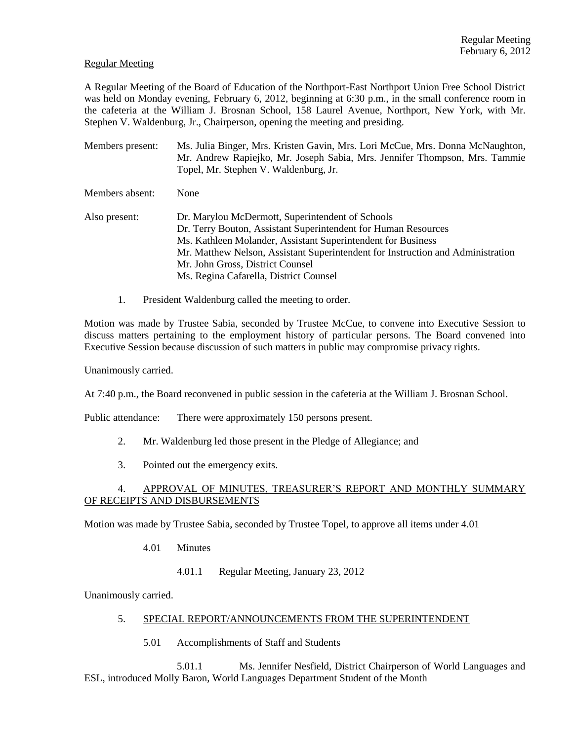### Regular Meeting

A Regular Meeting of the Board of Education of the Northport-East Northport Union Free School District was held on Monday evening, February 6, 2012, beginning at 6:30 p.m., in the small conference room in the cafeteria at the William J. Brosnan School, 158 Laurel Avenue, Northport, New York, with Mr. Stephen V. Waldenburg, Jr., Chairperson, opening the meeting and presiding.

- Members present: Ms. Julia Binger, Mrs. Kristen Gavin, Mrs. Lori McCue, Mrs. Donna McNaughton, Mr. Andrew Rapiejko, Mr. Joseph Sabia, Mrs. Jennifer Thompson, Mrs. Tammie Topel, Mr. Stephen V. Waldenburg, Jr. Members absent: None Also present: Dr. Marylou McDermott, Superintendent of Schools Dr. Terry Bouton, Assistant Superintendent for Human Resources Ms. Kathleen Molander, Assistant Superintendent for Business Mr. Matthew Nelson, Assistant Superintendent for Instruction and Administration Mr. John Gross, District Counsel Ms. Regina Cafarella, District Counsel
	- 1. President Waldenburg called the meeting to order.

Motion was made by Trustee Sabia, seconded by Trustee McCue, to convene into Executive Session to discuss matters pertaining to the employment history of particular persons. The Board convened into Executive Session because discussion of such matters in public may compromise privacy rights.

Unanimously carried.

At 7:40 p.m., the Board reconvened in public session in the cafeteria at the William J. Brosnan School.

Public attendance: There were approximately 150 persons present.

- 2. Mr. Waldenburg led those present in the Pledge of Allegiance; and
- 3. Pointed out the emergency exits.

# 4. APPROVAL OF MINUTES, TREASURER'S REPORT AND MONTHLY SUMMARY OF RECEIPTS AND DISBURSEMENTS

Motion was made by Trustee Sabia, seconded by Trustee Topel, to approve all items under 4.01

- 4.01 Minutes
	- 4.01.1 Regular Meeting, January 23, 2012

Unanimously carried.

- 5. SPECIAL REPORT/ANNOUNCEMENTS FROM THE SUPERINTENDENT
	- 5.01 Accomplishments of Staff and Students

5.01.1 Ms. Jennifer Nesfield, District Chairperson of World Languages and ESL, introduced Molly Baron, World Languages Department Student of the Month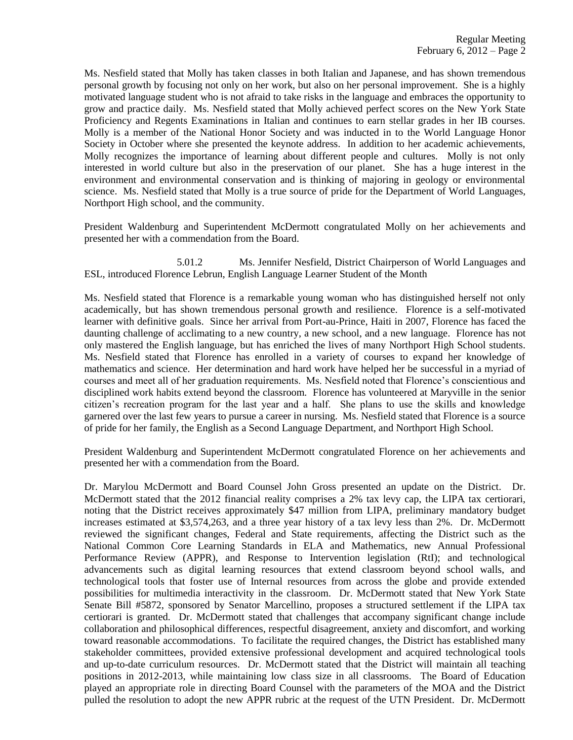Ms. Nesfield stated that Molly has taken classes in both Italian and Japanese, and has shown tremendous personal growth by focusing not only on her work, but also on her personal improvement. She is a highly motivated language student who is not afraid to take risks in the language and embraces the opportunity to grow and practice daily. Ms. Nesfield stated that Molly achieved perfect scores on the New York State Proficiency and Regents Examinations in Italian and continues to earn stellar grades in her IB courses. Molly is a member of the National Honor Society and was inducted in to the World Language Honor Society in October where she presented the keynote address. In addition to her academic achievements, Molly recognizes the importance of learning about different people and cultures. Molly is not only interested in world culture but also in the preservation of our planet. She has a huge interest in the environment and environmental conservation and is thinking of majoring in geology or environmental science. Ms. Nesfield stated that Molly is a true source of pride for the Department of World Languages, Northport High school, and the community.

President Waldenburg and Superintendent McDermott congratulated Molly on her achievements and presented her with a commendation from the Board.

5.01.2 Ms. Jennifer Nesfield, District Chairperson of World Languages and ESL, introduced Florence Lebrun, English Language Learner Student of the Month

Ms. Nesfield stated that Florence is a remarkable young woman who has distinguished herself not only academically, but has shown tremendous personal growth and resilience. Florence is a self-motivated learner with definitive goals. Since her arrival from Port-au-Prince, Haiti in 2007, Florence has faced the daunting challenge of acclimating to a new country, a new school, and a new language. Florence has not only mastered the English language, but has enriched the lives of many Northport High School students. Ms. Nesfield stated that Florence has enrolled in a variety of courses to expand her knowledge of mathematics and science. Her determination and hard work have helped her be successful in a myriad of courses and meet all of her graduation requirements. Ms. Nesfield noted that Florence's conscientious and disciplined work habits extend beyond the classroom. Florence has volunteered at Maryville in the senior citizen's recreation program for the last year and a half. She plans to use the skills and knowledge garnered over the last few years to pursue a career in nursing. Ms. Nesfield stated that Florence is a source of pride for her family, the English as a Second Language Department, and Northport High School.

President Waldenburg and Superintendent McDermott congratulated Florence on her achievements and presented her with a commendation from the Board.

Dr. Marylou McDermott and Board Counsel John Gross presented an update on the District. Dr. McDermott stated that the 2012 financial reality comprises a 2% tax levy cap, the LIPA tax certiorari, noting that the District receives approximately \$47 million from LIPA, preliminary mandatory budget increases estimated at \$3,574,263, and a three year history of a tax levy less than 2%. Dr. McDermott reviewed the significant changes, Federal and State requirements, affecting the District such as the National Common Core Learning Standards in ELA and Mathematics, new Annual Professional Performance Review (APPR), and Response to Intervention legislation (RtI); and technological advancements such as digital learning resources that extend classroom beyond school walls, and technological tools that foster use of Internal resources from across the globe and provide extended possibilities for multimedia interactivity in the classroom. Dr. McDermott stated that New York State Senate Bill #5872, sponsored by Senator Marcellino, proposes a structured settlement if the LIPA tax certiorari is granted. Dr. McDermott stated that challenges that accompany significant change include collaboration and philosophical differences, respectful disagreement, anxiety and discomfort, and working toward reasonable accommodations. To facilitate the required changes, the District has established many stakeholder committees, provided extensive professional development and acquired technological tools and up-to-date curriculum resources. Dr. McDermott stated that the District will maintain all teaching positions in 2012-2013, while maintaining low class size in all classrooms. The Board of Education played an appropriate role in directing Board Counsel with the parameters of the MOA and the District pulled the resolution to adopt the new APPR rubric at the request of the UTN President. Dr. McDermott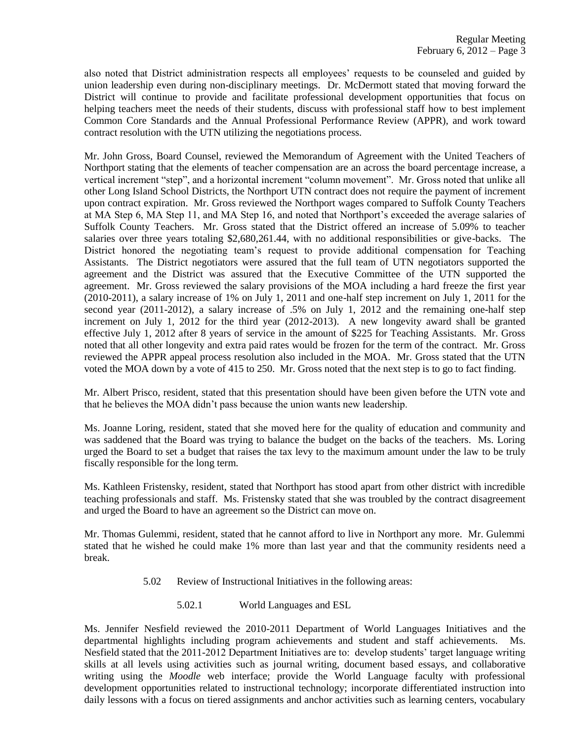also noted that District administration respects all employees' requests to be counseled and guided by union leadership even during non-disciplinary meetings. Dr. McDermott stated that moving forward the District will continue to provide and facilitate professional development opportunities that focus on helping teachers meet the needs of their students, discuss with professional staff how to best implement Common Core Standards and the Annual Professional Performance Review (APPR), and work toward contract resolution with the UTN utilizing the negotiations process.

Mr. John Gross, Board Counsel, reviewed the Memorandum of Agreement with the United Teachers of Northport stating that the elements of teacher compensation are an across the board percentage increase, a vertical increment "step", and a horizontal increment "column movement". Mr. Gross noted that unlike all other Long Island School Districts, the Northport UTN contract does not require the payment of increment upon contract expiration. Mr. Gross reviewed the Northport wages compared to Suffolk County Teachers at MA Step 6, MA Step 11, and MA Step 16, and noted that Northport's exceeded the average salaries of Suffolk County Teachers. Mr. Gross stated that the District offered an increase of 5.09% to teacher salaries over three years totaling \$2,680,261.44, with no additional responsibilities or give-backs. The District honored the negotiating team's request to provide additional compensation for Teaching Assistants. The District negotiators were assured that the full team of UTN negotiators supported the agreement and the District was assured that the Executive Committee of the UTN supported the agreement. Mr. Gross reviewed the salary provisions of the MOA including a hard freeze the first year (2010-2011), a salary increase of 1% on July 1, 2011 and one-half step increment on July 1, 2011 for the second year (2011-2012), a salary increase of .5% on July 1, 2012 and the remaining one-half step increment on July 1, 2012 for the third year (2012-2013). A new longevity award shall be granted effective July 1, 2012 after 8 years of service in the amount of \$225 for Teaching Assistants. Mr. Gross noted that all other longevity and extra paid rates would be frozen for the term of the contract. Mr. Gross reviewed the APPR appeal process resolution also included in the MOA. Mr. Gross stated that the UTN voted the MOA down by a vote of 415 to 250. Mr. Gross noted that the next step is to go to fact finding.

Mr. Albert Prisco, resident, stated that this presentation should have been given before the UTN vote and that he believes the MOA didn't pass because the union wants new leadership.

Ms. Joanne Loring, resident, stated that she moved here for the quality of education and community and was saddened that the Board was trying to balance the budget on the backs of the teachers. Ms. Loring urged the Board to set a budget that raises the tax levy to the maximum amount under the law to be truly fiscally responsible for the long term.

Ms. Kathleen Fristensky, resident, stated that Northport has stood apart from other district with incredible teaching professionals and staff. Ms. Fristensky stated that she was troubled by the contract disagreement and urged the Board to have an agreement so the District can move on.

Mr. Thomas Gulemmi, resident, stated that he cannot afford to live in Northport any more. Mr. Gulemmi stated that he wished he could make 1% more than last year and that the community residents need a break.

- 5.02 Review of Instructional Initiatives in the following areas:
	- 5.02.1 World Languages and ESL

Ms. Jennifer Nesfield reviewed the 2010-2011 Department of World Languages Initiatives and the departmental highlights including program achievements and student and staff achievements. Ms. Nesfield stated that the 2011-2012 Department Initiatives are to: develop students' target language writing skills at all levels using activities such as journal writing, document based essays, and collaborative writing using the *Moodle* web interface; provide the World Language faculty with professional development opportunities related to instructional technology; incorporate differentiated instruction into daily lessons with a focus on tiered assignments and anchor activities such as learning centers, vocabulary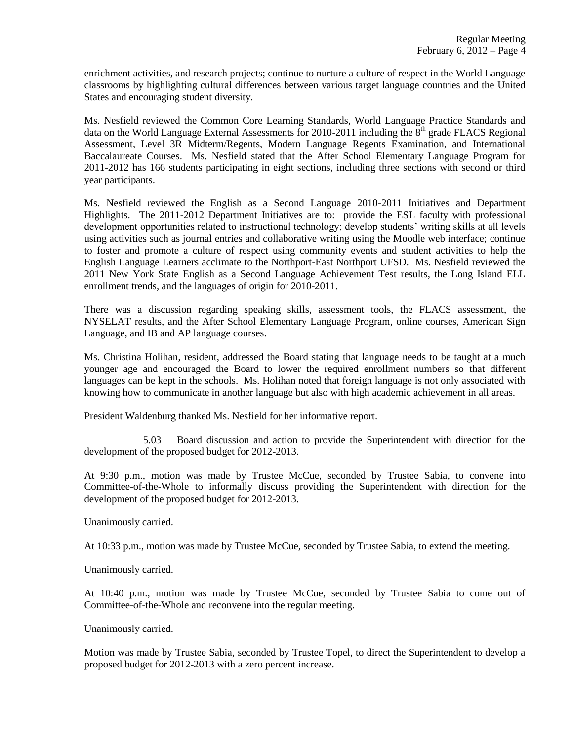enrichment activities, and research projects; continue to nurture a culture of respect in the World Language classrooms by highlighting cultural differences between various target language countries and the United States and encouraging student diversity.

Ms. Nesfield reviewed the Common Core Learning Standards, World Language Practice Standards and data on the World Language External Assessments for 2010-2011 including the  $8<sup>th</sup>$  grade FLACS Regional Assessment, Level 3R Midterm/Regents, Modern Language Regents Examination, and International Baccalaureate Courses. Ms. Nesfield stated that the After School Elementary Language Program for 2011-2012 has 166 students participating in eight sections, including three sections with second or third year participants.

Ms. Nesfield reviewed the English as a Second Language 2010-2011 Initiatives and Department Highlights. The 2011-2012 Department Initiatives are to: provide the ESL faculty with professional development opportunities related to instructional technology; develop students' writing skills at all levels using activities such as journal entries and collaborative writing using the Moodle web interface; continue to foster and promote a culture of respect using community events and student activities to help the English Language Learners acclimate to the Northport-East Northport UFSD. Ms. Nesfield reviewed the 2011 New York State English as a Second Language Achievement Test results, the Long Island ELL enrollment trends, and the languages of origin for 2010-2011.

There was a discussion regarding speaking skills, assessment tools, the FLACS assessment, the NYSELAT results, and the After School Elementary Language Program, online courses, American Sign Language, and IB and AP language courses.

Ms. Christina Holihan, resident, addressed the Board stating that language needs to be taught at a much younger age and encouraged the Board to lower the required enrollment numbers so that different languages can be kept in the schools. Ms. Holihan noted that foreign language is not only associated with knowing how to communicate in another language but also with high academic achievement in all areas.

President Waldenburg thanked Ms. Nesfield for her informative report.

5.03 Board discussion and action to provide the Superintendent with direction for the development of the proposed budget for 2012-2013.

At 9:30 p.m., motion was made by Trustee McCue, seconded by Trustee Sabia, to convene into Committee-of-the-Whole to informally discuss providing the Superintendent with direction for the development of the proposed budget for 2012-2013.

Unanimously carried.

At 10:33 p.m., motion was made by Trustee McCue, seconded by Trustee Sabia, to extend the meeting.

Unanimously carried.

At 10:40 p.m., motion was made by Trustee McCue, seconded by Trustee Sabia to come out of Committee-of-the-Whole and reconvene into the regular meeting.

Unanimously carried.

Motion was made by Trustee Sabia, seconded by Trustee Topel, to direct the Superintendent to develop a proposed budget for 2012-2013 with a zero percent increase.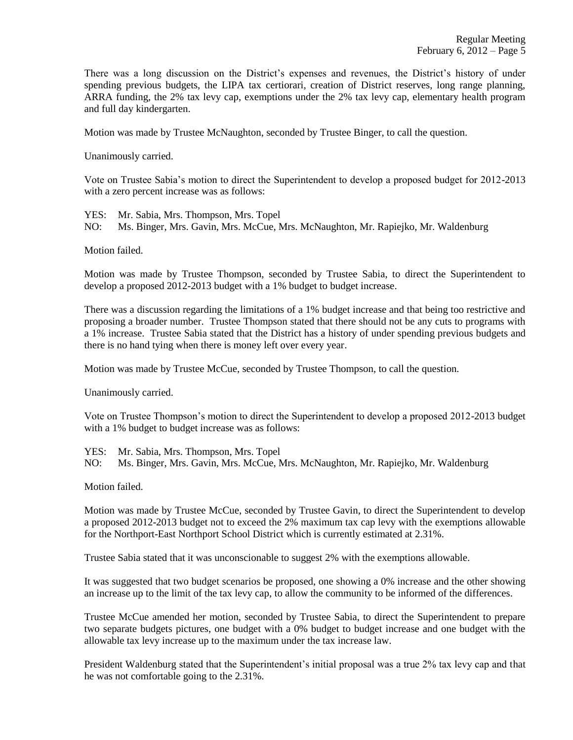There was a long discussion on the District's expenses and revenues, the District's history of under spending previous budgets, the LIPA tax certiorari, creation of District reserves, long range planning, ARRA funding, the 2% tax levy cap, exemptions under the 2% tax levy cap, elementary health program and full day kindergarten.

Motion was made by Trustee McNaughton, seconded by Trustee Binger, to call the question.

Unanimously carried.

Vote on Trustee Sabia's motion to direct the Superintendent to develop a proposed budget for 2012-2013 with a zero percent increase was as follows:

YES: Mr. Sabia, Mrs. Thompson, Mrs. Topel NO: Ms. Binger, Mrs. Gavin, Mrs. McCue, Mrs. McNaughton, Mr. Rapiejko, Mr. Waldenburg

Motion failed.

Motion was made by Trustee Thompson, seconded by Trustee Sabia, to direct the Superintendent to develop a proposed 2012-2013 budget with a 1% budget to budget increase.

There was a discussion regarding the limitations of a 1% budget increase and that being too restrictive and proposing a broader number. Trustee Thompson stated that there should not be any cuts to programs with a 1% increase. Trustee Sabia stated that the District has a history of under spending previous budgets and there is no hand tying when there is money left over every year.

Motion was made by Trustee McCue, seconded by Trustee Thompson, to call the question.

Unanimously carried.

Vote on Trustee Thompson's motion to direct the Superintendent to develop a proposed 2012-2013 budget with a 1% budget to budget increase was as follows:

YES: Mr. Sabia, Mrs. Thompson, Mrs. Topel

NO: Ms. Binger, Mrs. Gavin, Mrs. McCue, Mrs. McNaughton, Mr. Rapiejko, Mr. Waldenburg

Motion failed.

Motion was made by Trustee McCue, seconded by Trustee Gavin, to direct the Superintendent to develop a proposed 2012-2013 budget not to exceed the 2% maximum tax cap levy with the exemptions allowable for the Northport-East Northport School District which is currently estimated at 2.31%.

Trustee Sabia stated that it was unconscionable to suggest 2% with the exemptions allowable.

It was suggested that two budget scenarios be proposed, one showing a 0% increase and the other showing an increase up to the limit of the tax levy cap, to allow the community to be informed of the differences.

Trustee McCue amended her motion, seconded by Trustee Sabia, to direct the Superintendent to prepare two separate budgets pictures, one budget with a 0% budget to budget increase and one budget with the allowable tax levy increase up to the maximum under the tax increase law.

President Waldenburg stated that the Superintendent's initial proposal was a true 2% tax levy cap and that he was not comfortable going to the 2.31%.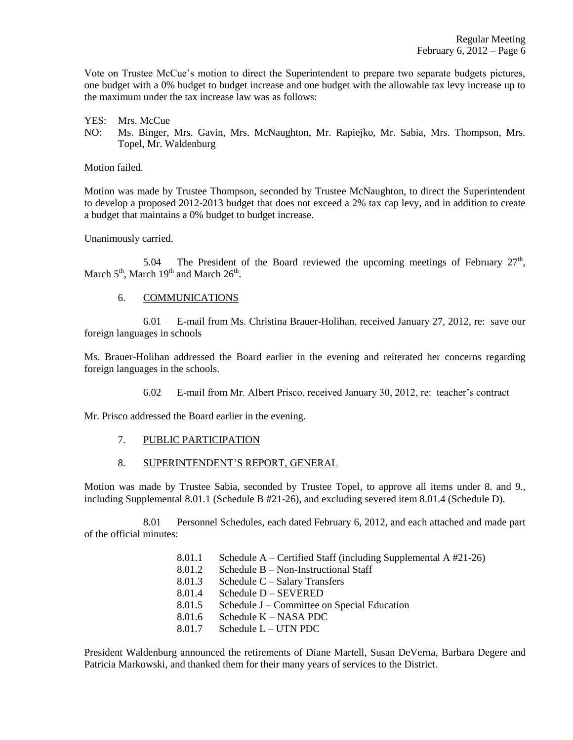Vote on Trustee McCue's motion to direct the Superintendent to prepare two separate budgets pictures, one budget with a 0% budget to budget increase and one budget with the allowable tax levy increase up to the maximum under the tax increase law was as follows:

YES: Mrs. McCue

NO: Ms. Binger, Mrs. Gavin, Mrs. McNaughton, Mr. Rapiejko, Mr. Sabia, Mrs. Thompson, Mrs. Topel, Mr. Waldenburg

Motion failed.

Motion was made by Trustee Thompson, seconded by Trustee McNaughton, to direct the Superintendent to develop a proposed 2012-2013 budget that does not exceed a 2% tax cap levy, and in addition to create a budget that maintains a 0% budget to budget increase.

Unanimously carried.

5.04 The President of the Board reviewed the upcoming meetings of February  $27<sup>th</sup>$ , March  $5<sup>th</sup>$ , March  $19<sup>th</sup>$  and March  $26<sup>th</sup>$ .

# 6. COMMUNICATIONS

6.01 E-mail from Ms. Christina Brauer-Holihan, received January 27, 2012, re: save our foreign languages in schools

Ms. Brauer-Holihan addressed the Board earlier in the evening and reiterated her concerns regarding foreign languages in the schools.

6.02 E-mail from Mr. Albert Prisco, received January 30, 2012, re: teacher's contract

Mr. Prisco addressed the Board earlier in the evening.

# 7. PUBLIC PARTICIPATION

#### 8. SUPERINTENDENT'S REPORT, GENERAL

Motion was made by Trustee Sabia, seconded by Trustee Topel, to approve all items under 8. and 9., including Supplemental 8.01.1 (Schedule B #21-26), and excluding severed item 8.01.4 (Schedule D).

8.01 Personnel Schedules, each dated February 6, 2012, and each attached and made part of the official minutes:

- 8.01.1 Schedule A Certified Staff (including Supplemental A #21-26)
- 8.01.2 Schedule B Non-Instructional Staff
- 8.01.3 Schedule C Salary Transfers
- 8.01.4 Schedule D SEVERED
- 8.01.5 Schedule J Committee on Special Education
- 8.01.6 Schedule K NASA PDC
- 8.01.7 Schedule L UTN PDC

President Waldenburg announced the retirements of Diane Martell, Susan DeVerna, Barbara Degere and Patricia Markowski, and thanked them for their many years of services to the District.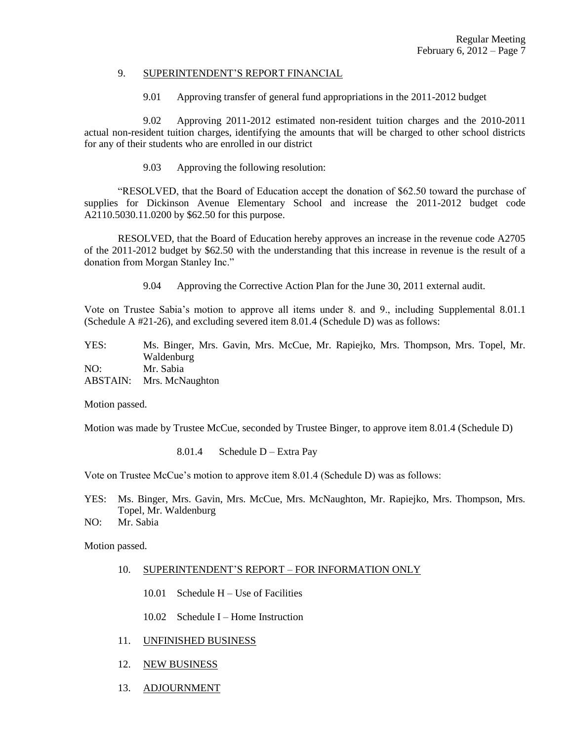### 9. SUPERINTENDENT'S REPORT FINANCIAL

9.01 Approving transfer of general fund appropriations in the 2011-2012 budget

9.02 Approving 2011-2012 estimated non-resident tuition charges and the 2010-2011 actual non-resident tuition charges, identifying the amounts that will be charged to other school districts for any of their students who are enrolled in our district

9.03 Approving the following resolution:

"RESOLVED, that the Board of Education accept the donation of \$62.50 toward the purchase of supplies for Dickinson Avenue Elementary School and increase the 2011-2012 budget code A2110.5030.11.0200 by \$62.50 for this purpose.

RESOLVED, that the Board of Education hereby approves an increase in the revenue code A2705 of the 2011-2012 budget by \$62.50 with the understanding that this increase in revenue is the result of a donation from Morgan Stanley Inc."

9.04 Approving the Corrective Action Plan for the June 30, 2011 external audit.

Vote on Trustee Sabia's motion to approve all items under 8. and 9., including Supplemental 8.01.1 (Schedule A #21-26), and excluding severed item 8.01.4 (Schedule D) was as follows:

YES: Ms. Binger, Mrs. Gavin, Mrs. McCue, Mr. Rapiejko, Mrs. Thompson, Mrs. Topel, Mr. Waldenburg NO: Mr. Sabia ABSTAIN: Mrs. McNaughton

Motion passed.

Motion was made by Trustee McCue, seconded by Trustee Binger, to approve item 8.01.4 (Schedule D)

8.01.4 Scheduling 
$$
D
$$
 – Extra Pay

Vote on Trustee McCue's motion to approve item 8.01.4 (Schedule D) was as follows:

- YES: Ms. Binger, Mrs. Gavin, Mrs. McCue, Mrs. McNaughton, Mr. Rapiejko, Mrs. Thompson, Mrs. Topel, Mr. Waldenburg
- NO: Mr. Sabia

Motion passed.

- 10. SUPERINTENDENT'S REPORT FOR INFORMATION ONLY
	- 10.01 Schedule H Use of Facilities
	- 10.02 Schedule I Home Instruction
- 11. UNFINISHED BUSINESS
- 12. NEW BUSINESS
- 13. ADJOURNMENT